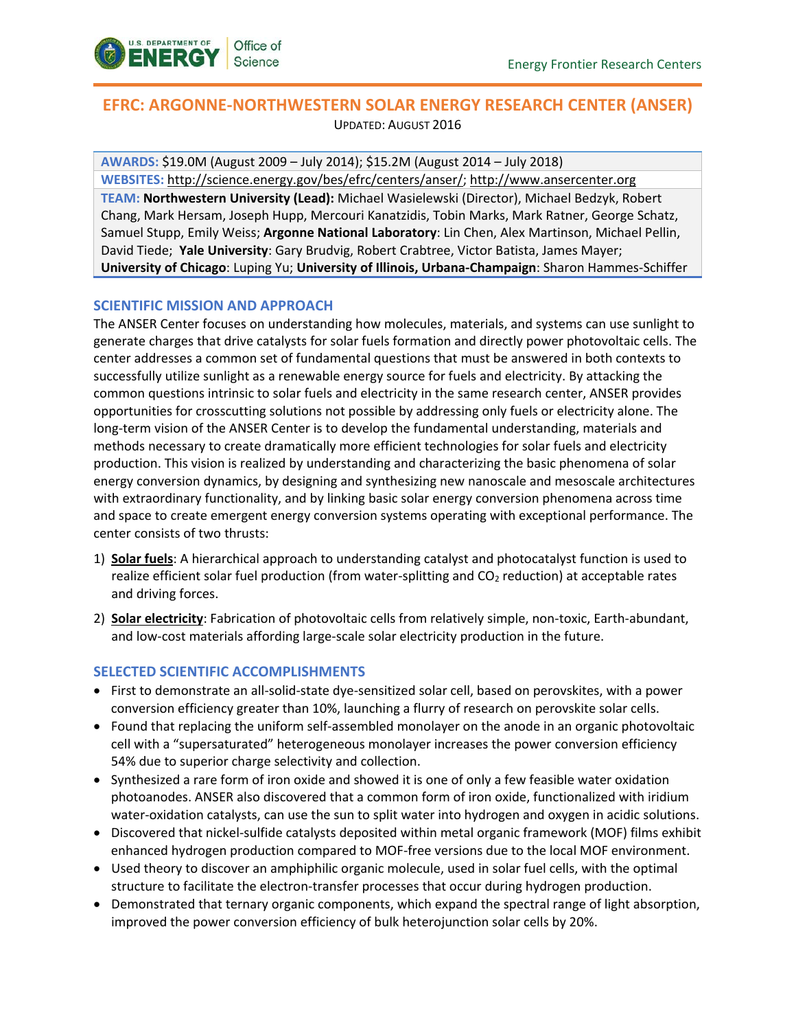

# **EFRC: ARGONNE-NORTHWESTERN SOLAR ENERGY RESEARCH CENTER (ANSER)** UPDATED: AUGUST 2016

**AWARDS:** \$19.0M (August 2009 – July 2014); \$15.2M (August 2014 – July 2018) **WEBSITES:** [http://science.energy.gov/bes/efrc/centers/anser/;](http://science.energy.gov/bes/efrc/centers/EFRC/) http://www.ansercenter.org **TEAM: Northwestern University (Lead):** Michael Wasielewski (Director), Michael Bedzyk, Robert Chang, Mark Hersam, Joseph Hupp, Mercouri Kanatzidis, Tobin Marks, Mark Ratner, George Schatz, Samuel Stupp, Emily Weiss; **Argonne National Laboratory**: Lin Chen, Alex Martinson, Michael Pellin, David Tiede; **Yale University**: Gary Brudvig, Robert Crabtree, Victor Batista, James Mayer; **University of Chicago**: Luping Yu; **University of Illinois, Urbana-Champaign**: Sharon Hammes-Schiffer

## **SCIENTIFIC MISSION AND APPROACH**

The ANSER Center focuses on understanding how molecules, materials, and systems can use sunlight to generate charges that drive catalysts for solar fuels formation and directly power photovoltaic cells. The center addresses a common set of fundamental questions that must be answered in both contexts to successfully utilize sunlight as a renewable energy source for fuels and electricity. By attacking the common questions intrinsic to solar fuels and electricity in the same research center, ANSER provides opportunities for crosscutting solutions not possible by addressing only fuels or electricity alone. The long-term vision of the ANSER Center is to develop the fundamental understanding, materials and methods necessary to create dramatically more efficient technologies for solar fuels and electricity production. This vision is realized by understanding and characterizing the basic phenomena of solar energy conversion dynamics, by designing and synthesizing new nanoscale and mesoscale architectures with extraordinary functionality, and by linking basic solar energy conversion phenomena across time and space to create emergent energy conversion systems operating with exceptional performance. The center consists of two thrusts:

- 1) **Solar fuels**: A hierarchical approach to understanding catalyst and photocatalyst function is used to realize efficient solar fuel production (from water-splitting and  $CO<sub>2</sub>$  reduction) at acceptable rates and driving forces.
- 2) **Solar electricity**: Fabrication of photovoltaic cells from relatively simple, non-toxic, Earth-abundant, and low-cost materials affording large-scale solar electricity production in the future.

### **SELECTED SCIENTIFIC ACCOMPLISHMENTS**

- First to demonstrate an all-solid-state dye-sensitized solar cell, based on perovskites, with a power conversion efficiency greater than 10%, launching a flurry of research on perovskite solar cells.
- Found that replacing the uniform self-assembled monolayer on the anode in an organic photovoltaic cell with a "supersaturated" heterogeneous monolayer increases the power conversion efficiency 54% due to superior charge selectivity and collection.
- Synthesized a rare form of iron oxide and showed it is one of only a few feasible water oxidation photoanodes. ANSER also discovered that a common form of iron oxide, functionalized with iridium water-oxidation catalysts, can use the sun to split water into hydrogen and oxygen in acidic solutions.
- Discovered that nickel-sulfide catalysts deposited within metal organic framework (MOF) films exhibit enhanced hydrogen production compared to MOF-free versions due to the local MOF environment.
- Used theory to discover an amphiphilic organic molecule, used in solar fuel cells, with the optimal structure to facilitate the electron-transfer processes that occur during hydrogen production.
- Demonstrated that ternary organic components, which expand the spectral range of light absorption, improved the power conversion efficiency of bulk heterojunction solar cells by 20%.